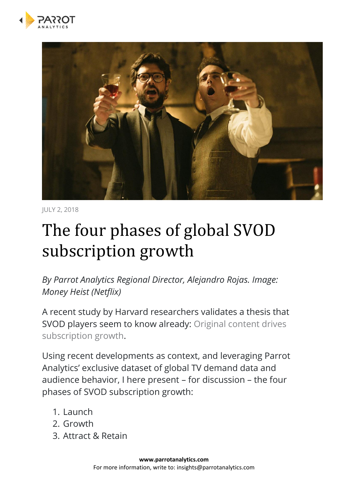



JULY 2, 2018

# The four phases of global SVOD subscription growth

*By Parrot Analytics Regional Director, Alejandro Rojas. Image: Money Heist (Netflix)*

A recent study by Harvard researchers validates a thesis that SVOD players seem to know already: [Original content drives](https://qz.com/905983/when-netflix-releases-shows-like-fuller-house-and-stranger-things-the-share-price-goes-up-with-demand/)  [subscription growth.](https://qz.com/905983/when-netflix-releases-shows-like-fuller-house-and-stranger-things-the-share-price-goes-up-with-demand/)

Using recent developments as context, and leveraging Parrot Analytics' exclusive dataset of global TV demand data and audience behavior, I here present – for discussion – the four phases of SVOD subscription growth:

- 1. Launch
- 2. Growth
- 3. Attract & Retain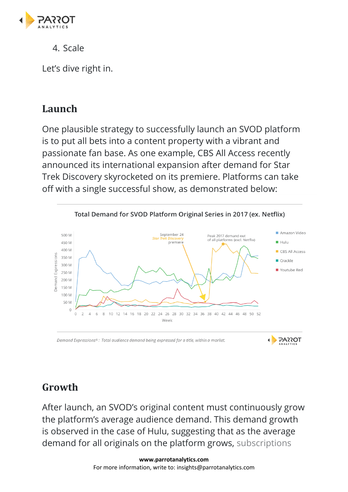

4. Scale

Let's dive right in.

## **Launch**

One plausible strategy to successfully launch an SVOD platform is to put all bets into a content property with a vibrant and passionate fan base. As one example, CBS All Access recently announced its international expansion after demand for Star Trek Discovery skyrocketed on its premiere. Platforms can take off with a single successful show, as demonstrated below:



# **Growth**

After launch, an SVOD's original content must continuously grow the platform's average audience demand. This demand growth is observed in the case of Hulu, suggesting that as the average demand for all originals on the platform grows, [subscriptions](https://insights.parrotanalytics.com/hulu-ott-platform-svod-performance-analysis-2017)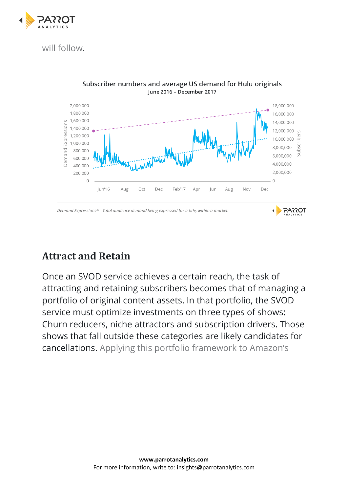

[will follow.](https://insights.parrotanalytics.com/hulu-ott-platform-svod-performance-analysis-2017)



## **Attract and Retain**

Once an SVOD service achieves a certain reach, the task of attracting and retaining subscribers becomes that of managing a portfolio of original content assets. In that portfolio, the SVOD service must optimize investments on three types of shows: Churn reducers, niche attractors and subscription drivers. Those shows that fall outside these categories are likely candidates for cancellations. [Applying this portfolio framework to Amazon's](https://insights.parrotanalytics.com/amazon-video-prime-internal-numbers)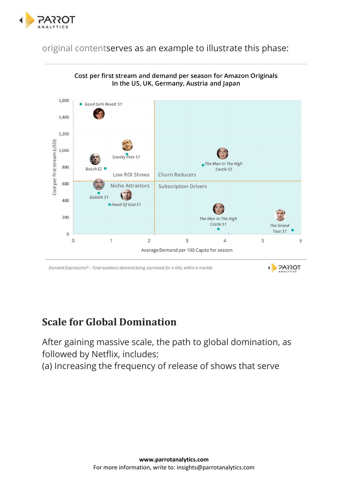

[original contents](https://insights.parrotanalytics.com/amazon-video-prime-internal-numbers)erves as an example to illustrate this phase:



#### Cost per first stream and demand per season for Amazon Originals In the US, UK, Germany, Austria and Japan

Demand Expressions®: Total audience demand being expressed for a title, within a market.

#### **Scale for Global Domination**

After gaining massive scale, the path to global domination, as followed by Netflix, includes:

(a) Increasing the frequency of release of shows that serve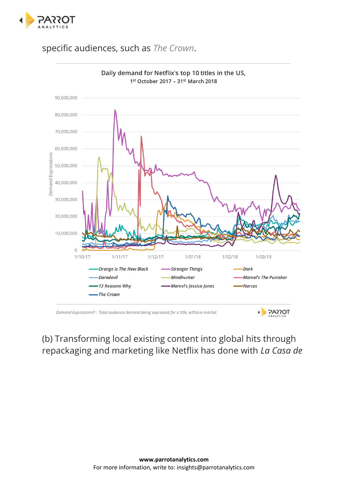

#### specific audiences, such as *[The Crown](https://www.parrotanalytics.com/insights/demand-netflixs-crown-uk-international-appeal-royal-dramas/)*.



#### (b) Transforming local existing content into global hits through repackaging and marketing like Netflix has done with *La Casa de*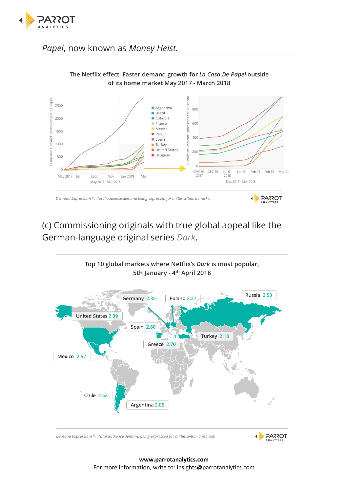

#### *Papel*, now known as *Money Heist.*



#### (c) Commissioning originals with true global appeal like the German-language original series *[Dark](https://www.screendaily.com/news/dark-could-be-netflixs-biggest-european-hit-so-far/5125338.article)*.



Demand Expressions®: Total audience demand being expressed for a title, within a market.